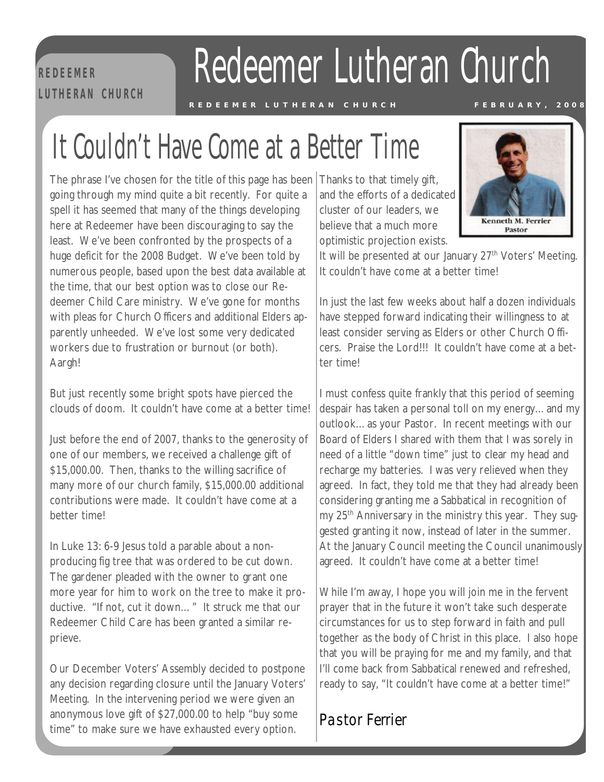**R E D EE M ER L U T H E RA N C H U RC H** 

## Redeemer Lutheran Church

REDEEMER LUTHERAN CHURCH FEBRUARY, 2008

## $\begin{array}{c} R \\ \hline \end{array}$ It Couldn't Have Come at a Better Time

The phrase I've chosen for the title of this page has been Thanks to that timely gift, going through my mind quite a bit recently. For quite a spell it has seemed that many of the things developing here at Redeemer have been discouraging to say the least. We've been confronted by the prospects of a huge deficit for the 2008 Budget. We've been told by numerous people, based upon the best data available at the time, that our best option was to close our Redeemer Child Care ministry. We've gone for months with pleas for Church Officers and additional Elders apparently unheeded. We've lost some very dedicated workers due to frustration or burnout (or both). Aargh!

But just recently some bright spots have pierced the clouds of doom. It couldn't have come at a better time!

Just before the end of 2007, thanks to the generosity of one of our members, we received a challenge gift of \$15,000.00. Then, thanks to the willing sacrifice of many more of our church family, \$15,000.00 additional contributions were made. It couldn't have come at a better time!

In Luke 13: 6-9 Jesus told a parable about a nonproducing fig tree that was ordered to be cut down. The gardener pleaded with the owner to grant one more year for him to work on the tree to make it productive. "If not, cut it down…" It struck me that our Redeemer Child Care has been granted a similar reprieve.

Our December Voters' Assembly decided to postpone any decision regarding closure until the January Voters' Meeting. In the intervening period we were given an anonymous love gift of \$27,000.00 to help "buy some time" to make sure we have exhausted every option.

and the efforts of a dedicated cluster of our leaders, we believe that a much more optimistic projection exists.



It will be presented at our January  $27<sup>th</sup>$  Voters' Meeting. It couldn't have come at a better time!

In just the last few weeks about half a dozen individuals have stepped forward indicating their willingness to at least consider serving as Elders or other Church Officers. Praise the Lord!!! It couldn't have come at a better time!

I must confess quite frankly that this period of seeming despair has taken a personal toll on my energy…and my outlook…as your Pastor. In recent meetings with our Board of Elders I shared with them that I was sorely in need of a little "down time" just to clear my head and recharge my batteries. I was very relieved when they agreed. In fact, they told me that they had already been considering granting me a Sabbatical in recognition of my 25<sup>th</sup> Anniversary in the ministry this year. They suggested granting it now, instead of later in the summer. At the January Council meeting the Council unanimously agreed. It couldn't have come at a better time!

While I'm away, I hope you will join me in the fervent prayer that in the future it won't take such desperate circumstances for us to step forward in faith and pull together as the body of Christ in this place. I also hope that you will be praying for me and my family, and that I'll come back from Sabbatical renewed and refreshed, ready to say, "It couldn't have come at a better time!"

## *Pastor Ferrier Pastor Ferrier*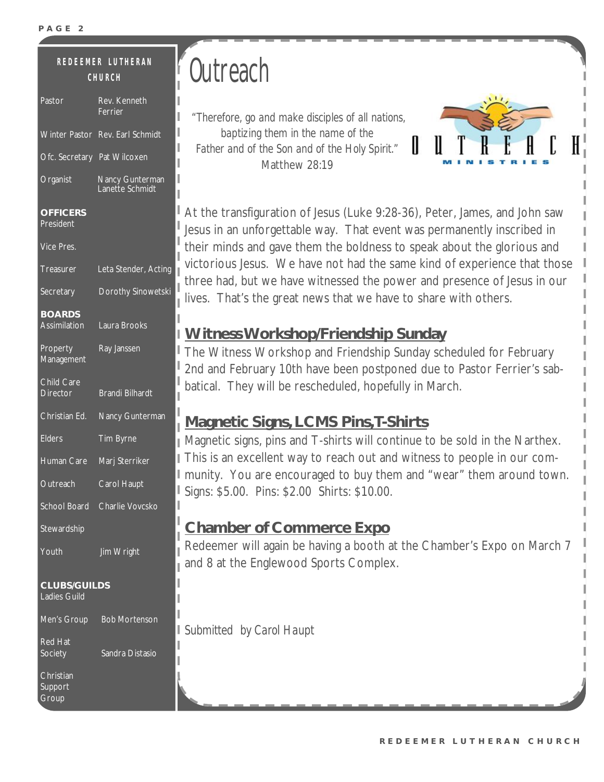#### Pastor Rev. Kenneth **R E D E E M ER L U T H E RA N C H U RC H**

| Pastor                                     | Rev. Kenneth<br>Ferrier            |  |  |  |
|--------------------------------------------|------------------------------------|--|--|--|
| <b>Winter Pastor</b>                       | Rev. Earl Schmidt                  |  |  |  |
| Ofc. Secretary Pat Wilcoxen                |                                    |  |  |  |
| Organist                                   | Nancy Gunterman<br>Lanette Schmidt |  |  |  |
| <b>OFFICERS</b><br>President               |                                    |  |  |  |
| Vice Pres.                                 |                                    |  |  |  |
| Treasurer                                  | Leta Stender, Acting               |  |  |  |
| Secretary                                  | Dorothy Sinowetski                 |  |  |  |
| <b>BOARDS</b><br><b>Assimilation</b>       | Laura Brooks                       |  |  |  |
| Property<br><b>Management</b>              | Ray Janssen                        |  |  |  |
| Child Care<br><b>Director</b>              | <b>Brandi Bilhardt</b>             |  |  |  |
| Christian Ed.                              | Nancy Gunterman                    |  |  |  |
| <b>Elders</b>                              | Tim Byrne                          |  |  |  |
| Human Care                                 | Marj Sterriker                     |  |  |  |
| Outreach                                   | Carol Haupt                        |  |  |  |
| <b>School Board</b>                        | Charlie Vovcsko                    |  |  |  |
| Stewardship                                |                                    |  |  |  |
| Youth                                      | Jim Wright                         |  |  |  |
| <b>CLUBS/GUILDS</b><br><b>Ladies Guild</b> |                                    |  |  |  |
|                                            | Men's Group Bob Mortenson          |  |  |  |
| <b>Red Hat</b><br>Society                  | Sandra Distasio                    |  |  |  |
| Christian<br>Support<br>Group              |                                    |  |  |  |

## **Outreach**

*"Therefore, go and make disciples of all nations, baptizing them in the name of the Father and of the Son and of the Holy Spirit."*  Matthew 28:19



At the transfiguration of Jesus (Luke 9:28-36), Peter, James, and John saw Jesus in an unforgettable way. That event was permanently inscribed in their minds and gave them the boldness to speak about the glorious and victorious Jesus. We have not had the same kind of experience that those three had, but we have witnessed the power and presence of Jesus in our lives. That's the great news that we have to share with others.

### **WitnessWorkshop/Friendship Sunday**

The Witness Workshop and Friendship Sunday scheduled for February 2nd and February 10th have been postponed due to Pastor Ferrier's sabbatical. They will be rescheduled, hopefully in March.

### **Magnetic Signs, LCMS Pins,T-Shirts**

Magnetic signs, pins and T-shirts will continue to be sold in the Narthex. I This is an excellent way to reach out and witness to people in our community. You are encouraged to buy them and "wear" them around town. Signs: \$5.00. Pins: \$2.00 Shirts: \$10.00.

### **Chamber of Commerce Expo**

Redeemer will again be having a booth at the Chamber's Expo on March 7 and 8 at the Englewood Sports Complex.

*Submitted by Carol Haupt*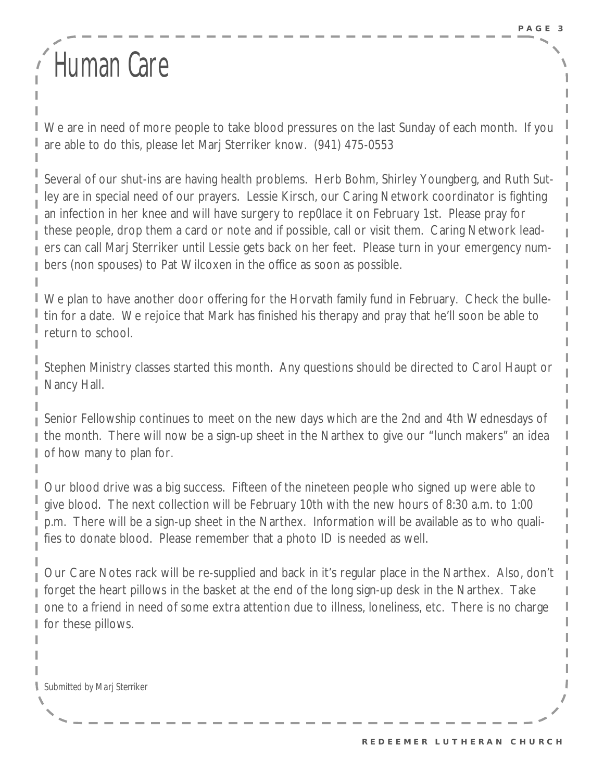## Human Care

We are in need of more people to take blood pressures on the last Sunday of each month. If you are able to do this, please let Marj Sterriker know. (941) 475-0553

Several of our shut-ins are having health problems. Herb Bohm, Shirley Youngberg, and Ruth Sutley are in special need of our prayers. Lessie Kirsch, our Caring Network coordinator is fighting an infection in her knee and will have surgery to rep0lace it on February 1st. Please pray for these people, drop them a card or note and if possible, call or visit them. Caring Network leaders can call Marj Sterriker until Lessie gets back on her feet. Please turn in your emergency numbers (non spouses) to Pat Wilcoxen in the office as soon as possible.

We plan to have another door offering for the Horvath family fund in February. Check the bulletin for a date. We rejoice that Mark has finished his therapy and pray that he'll soon be able to return to school.

Stephen Ministry classes started this month. Any questions should be directed to Carol Haupt or Nancy Hall.

Senior Fellowship continues to meet on the new days which are the 2nd and 4th Wednesdays of the month. There will now be a sign-up sheet in the Narthex to give our "lunch makers" an idea of how many to plan for.

Our blood drive was a big success. Fifteen of the nineteen people who signed up were able to give blood. The next collection will be February 10th with the new hours of 8:30 a.m. to 1:00 p.m. There will be a sign-up sheet in the Narthex. Information will be available as to who qualifies to donate blood. Please remember that a photo ID is needed as well.

Our Care Notes rack will be re-supplied and back in it's regular place in the Narthex. Also, don't forget the heart pillows in the basket at the end of the long sign-up desk in the Narthex. Take one to a friend in need of some extra attention due to illness, loneliness, etc. There is no charge for these pillows.

*Submitted by Marj Sterriker*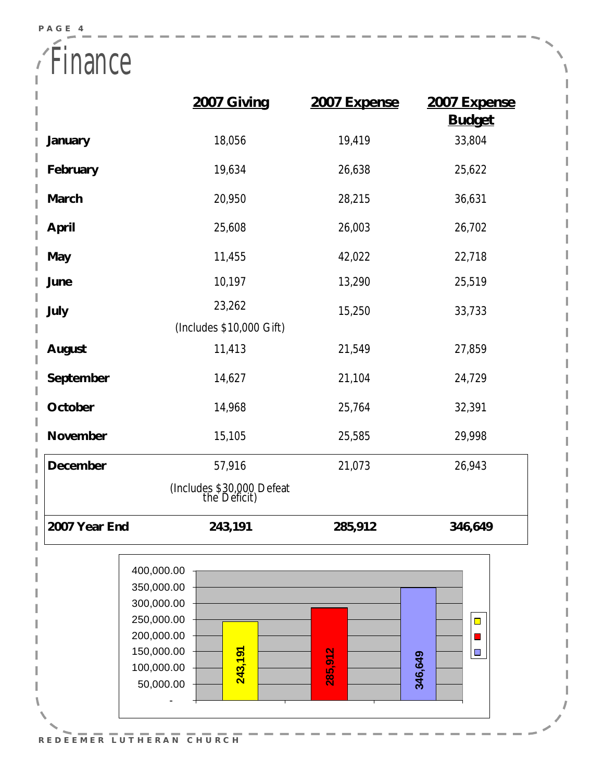**P A G E 4** 

à.

Finance Ĭ.

|                                | 2007 Giving                                                                                                            | 2007 Expense | 2007 Expense<br><b>Budget</b> |  |  |  |
|--------------------------------|------------------------------------------------------------------------------------------------------------------------|--------------|-------------------------------|--|--|--|
| January                        | 18,056                                                                                                                 | 19,419       | 33,804                        |  |  |  |
| February                       | 19,634                                                                                                                 | 26,638       | 25,622                        |  |  |  |
| March                          | 20,950                                                                                                                 | 28,215       | 36,631                        |  |  |  |
| April                          | 25,608                                                                                                                 | 26,003       | 26,702                        |  |  |  |
| May                            | 11,455                                                                                                                 | 42,022       | 22,718                        |  |  |  |
| June                           | 10,197                                                                                                                 | 13,290       | 25,519                        |  |  |  |
| July                           | 23,262                                                                                                                 | 15,250       | 33,733                        |  |  |  |
|                                | (Includes \$10,000 Gift)                                                                                               |              |                               |  |  |  |
| August                         | 11,413                                                                                                                 | 21,549       | 27,859                        |  |  |  |
| September                      | 14,627                                                                                                                 | 21,104       | 24,729                        |  |  |  |
| October                        | 14,968                                                                                                                 | 25,764       | 32,391                        |  |  |  |
| November                       | 15,105                                                                                                                 | 25,585       | 29,998                        |  |  |  |
| December                       | 57,916                                                                                                                 | 21,073       | 26,943                        |  |  |  |
|                                | (Includes \$30,000 Defeat<br>the Deficit)                                                                              |              |                               |  |  |  |
| 2007 Year End                  | 243,191                                                                                                                | 285,912      | 346,649                       |  |  |  |
|                                | 400,000.00<br>350,000.00<br>300,000.00<br>250,000.00<br>200,000.00<br>150,000.00<br>243,191<br>100,000.00<br>50,000.00 | 285,912      | $\Box$<br>$\Box$<br>346,649   |  |  |  |
| CHURCH<br>REDEEMER<br>LUTHERAN |                                                                                                                        |              |                               |  |  |  |

Í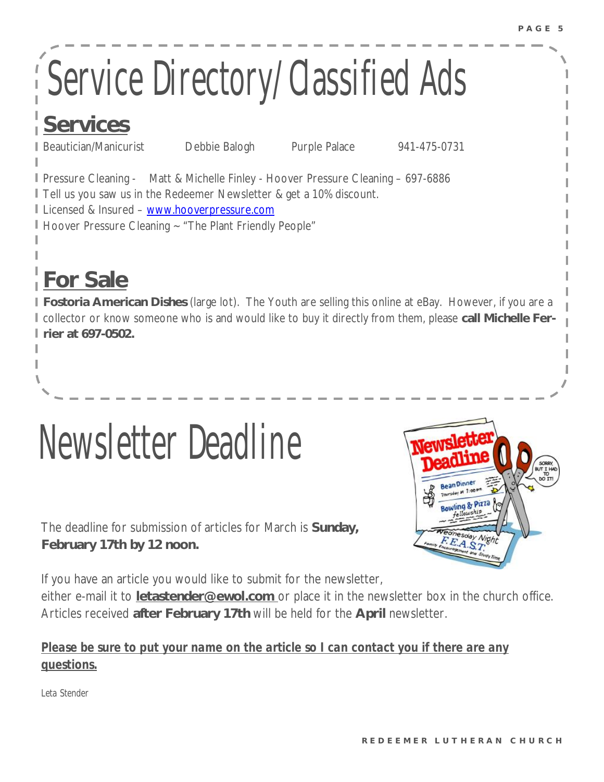# Service Directory/Classified Ads

## **Services**

Beautician/Manicurist Debbie Balogh Purple Palace 941-475-0731

Pressure Cleaning - Matt & Michelle Finley - Hoover Pressure Cleaning – 697-6886 Tell us you saw us in the Redeemer Newsletter & get a 10% discount. Licensed & Insured – [www.hooverpressure.com](http://www.hooverpressure.com)

Hoover Pressure Cleaning ~ "The Plant Friendly People"

## **For Sale**

**Fostoria American Dishes** (large lot). The Youth are selling this online at eBay. However, if you are a collector or know someone who is and would like to buy it directly from them, please **call Michelle Ferrier at 697-0502.** 

The deadline for submission of articles for March is **Sunday, February 17th by 12 noon.** 

Newsletter Deadline



If you have an article you would like to submit for the newsletter,

either e-mail it to **[letastender@ewol.com](mailto:letastender@ewol.com)** or place it in the newsletter box in the church office. Articles received **after February 17th** will be held for the **April** newsletter.

### *Please be sure to put your name on the article so I can contact you if there are any questions.*

*Leta Stender*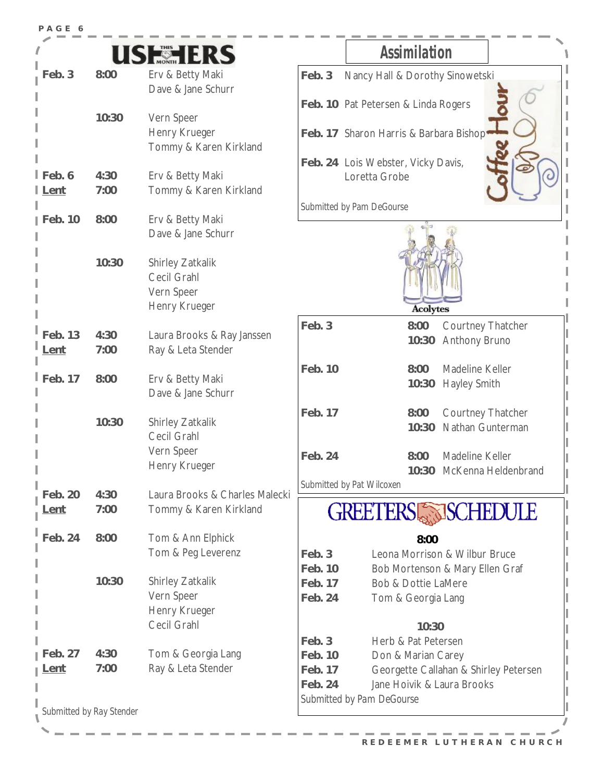| PAGE 6               |                          |                                |                          |                                                         |  |
|----------------------|--------------------------|--------------------------------|--------------------------|---------------------------------------------------------|--|
|                      |                          | <b>SHERERS</b>                 |                          | <b>Assimilation</b>                                     |  |
| Feb. 3               | 8:00                     | Erv & Betty Maki               | Feb. 3                   | Nancy Hall & Dorothy Sinowetski                         |  |
|                      |                          | Dave & Jane Schurr             |                          |                                                         |  |
|                      |                          |                                |                          | Feb. 10 Pat Petersen & Linda Rogers                     |  |
|                      | 10:30                    | Vern Speer                     |                          |                                                         |  |
|                      |                          | Henry Krueger                  |                          | Feb. 17 Sharon Harris & Barbara Bishop                  |  |
|                      |                          | Tommy & Karen Kirkland         |                          |                                                         |  |
| Feb.6                | 4:30                     | Erv & Betty Maki               |                          | Feb. 24 Lois Webster, Vicky Davis,<br>Loretta Grobe     |  |
| l <u>Lent</u>        | 7:00                     | Tommy & Karen Kirkland         |                          |                                                         |  |
|                      |                          |                                |                          | Submitted by Pam DeGourse                               |  |
| Feb. 10              | 8:00                     | Erv & Betty Maki               |                          |                                                         |  |
|                      |                          | Dave & Jane Schurr             |                          |                                                         |  |
|                      |                          |                                |                          |                                                         |  |
|                      | 10:30                    | Shirley Zatkalik               |                          |                                                         |  |
|                      |                          | Cecil Grahl                    |                          |                                                         |  |
|                      |                          | Vern Speer                     |                          |                                                         |  |
|                      |                          | Henry Krueger                  |                          | <b>Acolytes</b>                                         |  |
| Feb. 13              | 4:30                     | Laura Brooks & Ray Janssen     | Feb. 3                   | 8:00<br>Courtney Thatcher                               |  |
| Lent                 | 7:00                     | Ray & Leta Stender             |                          | <b>Anthony Bruno</b><br>10:30                           |  |
|                      |                          |                                |                          |                                                         |  |
| $\mathsf{I}$ Feb. 17 | 8:00                     | Erv & Betty Maki               | Feb. 10                  | 8:00<br>Madeline Keller<br><b>Hayley Smith</b><br>10:30 |  |
|                      |                          | Dave & Jane Schurr             |                          |                                                         |  |
|                      |                          |                                | Feb. 17                  | Courtney Thatcher<br>8:00                               |  |
|                      | 10:30                    | Shirley Zatkalik               |                          | 10:30<br>Nathan Gunterman                               |  |
|                      |                          | Cecil Grahl                    |                          |                                                         |  |
|                      |                          | Vern Speer                     | Feb. 24                  | Madeline Keller<br>8:00                                 |  |
|                      |                          | Henry Krueger                  |                          | 10:30 McKenna Heldenbrand                               |  |
| Feb. 20              | 4:30                     | Laura Brooks & Charles Malecki |                          | Submitted by Pat Wilcoxen                               |  |
| <u>.ent</u>          | 7:00                     | Tommy & Karen Kirkland         | <b>GREETERS SCHEDULE</b> |                                                         |  |
| Feb. 24              | 8:00                     | Tom & Ann Elphick              |                          | 8:00                                                    |  |
|                      |                          | Tom & Peg Leverenz             | Feb. 3                   | Leona Morrison & Wilbur Bruce                           |  |
|                      |                          |                                | Feb. 10                  | Bob Mortenson & Mary Ellen Graf                         |  |
|                      | 10:30                    | Shirley Zatkalik               | Feb. 17                  | <b>Bob &amp; Dottie LaMere</b>                          |  |
|                      |                          | Vern Speer                     | Feb. 24                  | Tom & Georgia Lang                                      |  |
|                      |                          | Henry Krueger                  |                          |                                                         |  |
|                      |                          | Cecil Grahl                    |                          | 10:30                                                   |  |
|                      |                          |                                | Feb. 3                   | Herb & Pat Petersen                                     |  |
| Feb. 27              | 4:30                     | Tom & Georgia Lang             | Feb. 10                  | Don & Marian Carey                                      |  |
| <u>Lent</u>          | 7:00                     | Ray & Leta Stender             | Feb. 17                  | Georgette Callahan & Shirley Petersen                   |  |
|                      |                          |                                | Feb. 24                  | Jane Hoivik & Laura Brooks                              |  |
|                      | Submitted by Ray Stender |                                |                          | Submitted by Pam DeGourse                               |  |
|                      |                          |                                |                          |                                                         |  |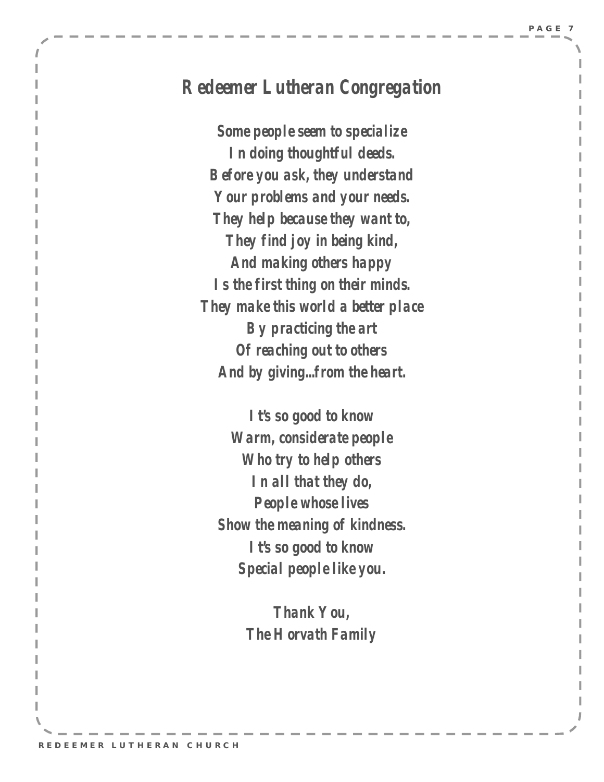### *Redeemer Lutheran Congregation*

*Some people seem to specialize In doing thoughtful deeds. Before you ask, they understand Your problems and your needs. They help because they want to, They find joy in being kind, And making others happy Is the first thing on their minds. They make this world a better place By practicing the art Of reaching out to others And by giving...from the heart.* 

*It's so good to know Warm, considerate people Who try to help others In all that they do, People whose lives Show the meaning of kindness. It's so good to know Special people like you.* 

> *Thank You, The Horvath Family*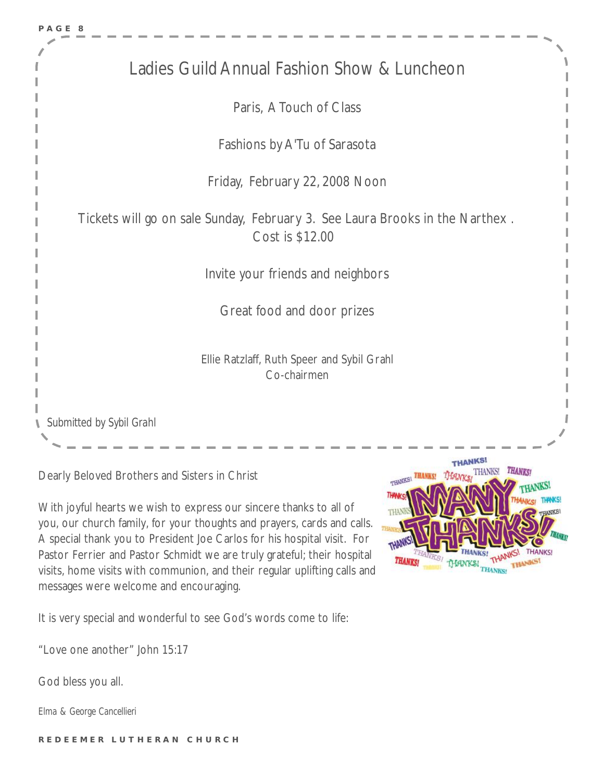

Dearly Beloved Brothers and Sisters in Christ

With joyful hearts we wish to express our sincere thanks to all of you, our church family, for your thoughts and prayers, cards and calls. A special thank you to President Joe Carlos for his hospital visit. For Pastor Ferrier and Pastor Schmidt we are truly grateful; their hospital visits, home visits with communion, and their regular uplifting calls and messages were welcome and encouraging.

It is very special and wonderful to see God's words come to life:

"Love one another" John 15:17

God bless you all.

*Elma & George Cancellieri* 

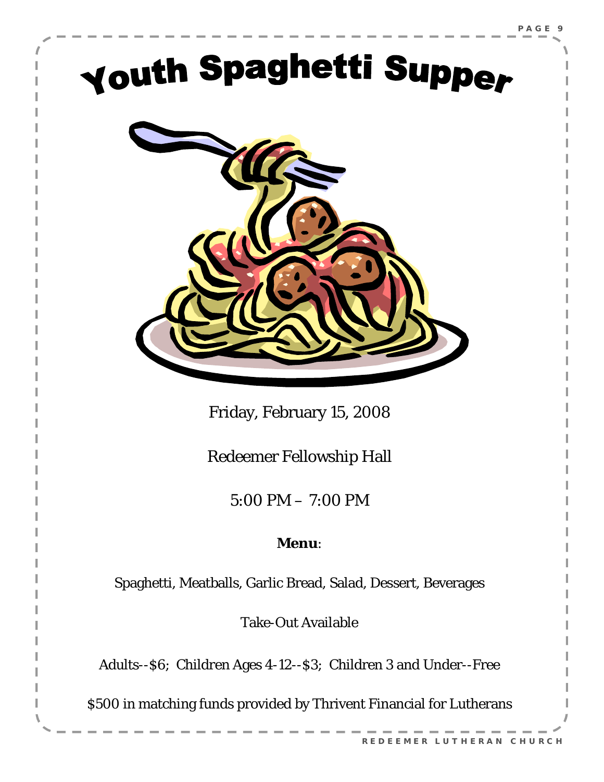## Youth Spaghetti Supper



Friday, February 15, 2008

Redeemer Fellowship Hall

5:00 PM – 7:00 PM

### **Menu**:

Spaghetti, Meatballs, Garlic Bread, Salad, Dessert, Beverages

Take-Out Available

Adults--\$6; Children Ages 4-12--\$3; Children 3 and Under--Free

\$500 in matching funds provided by Thrivent Financial for Lutherans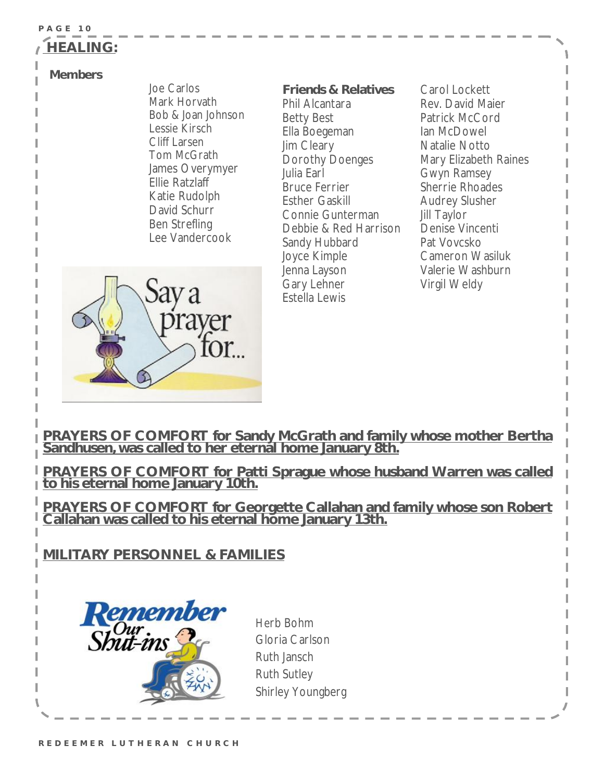#### **P A G E 10 HEALING:**

#### **Members**

Joe Carlos Mark Horvath Bob & Joan Johnson Lessie Kirsch Cliff Larsen Tom McGrath James Overymyer Ellie Ratzlaff Katie Rudolph David Schurr Ben Strefling Lee Vandercook

**Friends & Relatives**  Phil Alcantara Betty Best Ella Boegeman Jim Cleary Dorothy Doenges Julia Earl Bruce Ferrier Esther Gaskill Connie Gunterman Debbie & Red Harrison Sandy Hubbard Joyce Kimple Jenna Layson Gary Lehner Estella Lewis

Carol Lockett Rev. David Maier Patrick McCord Ian McDowel Natalie Notto Mary Elizabeth Raines Gwyn Ramsey Sherrie Rhoades Audrey Slusher Jill Taylor Denise Vincenti Pat Vovcsko Cameron Wasiluk Valerie Washburn Virgil Weldy



**PRAYERS OF COMFORT for Sandy McGrath and family whose mother Bertha Sandhusen, was called to her eternal home January 8th.**

**PRAYERS OF COMFORT for Patti Sprague whose husband Warren was called to his eternal home January 10th.**

**PRAYERS OF COMFORT for Georgette Callahan and family whose son Robert Callahan was called to his eternal home January 13th.**

**MILITARY PERSONNEL & FAMILIES**



Herb Bohm Gloria Carlson Ruth Jansch Ruth Sutley Shirley Youngberg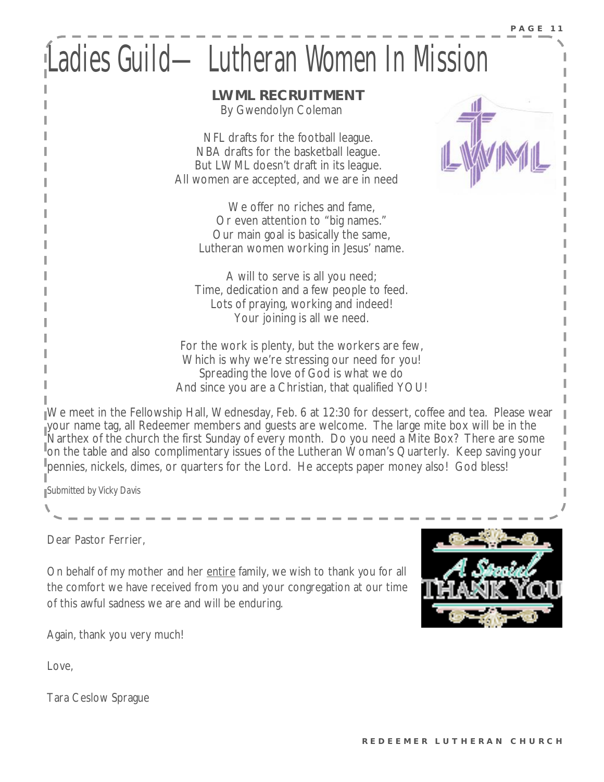## Ladies Guild—Lutheran Women In Mssion

 **LWML RECRUITMENT**  By Gwendolyn Coleman

 NFL drafts for the football league. NBA drafts for the basketball league. But LWML doesn't draft in its league. All women are accepted, and we are in need

> We offer no riches and fame, Or even attention to "big names." Our main goal is basically the same, Lutheran women working in Jesus' name.

A will to serve is all you need; Time, dedication and a few people to feed. Lots of praying, working and indeed! Your joining is all we need.

For the work is plenty, but the workers are few, Which is why we're stressing our need for you! Spreading the love of God is what we do And since you are a Christian, that qualified YOU!

We meet in the Fellowship Hall, Wednesday, Feb. 6 at 12:30 for dessert, coffee and tea. Please wear your name tag, all Redeemer members and guests are welcome. The large mite box will be in the Narthex of the church the first Sunday of every month. Do you need a Mite Box? There are some on the table and also complimentary issues of the Lutheran Woman's Quarterly. Keep saving your pennies, nickels, dimes, or quarters for the Lord. He accepts paper money also! God bless!

*Submitted by Vicky Davis* 

Dear Pastor Ferrier,

On behalf of my mother and her entire family, we wish to thank you for all the comfort we have received from you and your congregation at our time of this awful sadness we are and will be enduring.



Again, thank you very much!

Love,

Tara Ceslow Sprague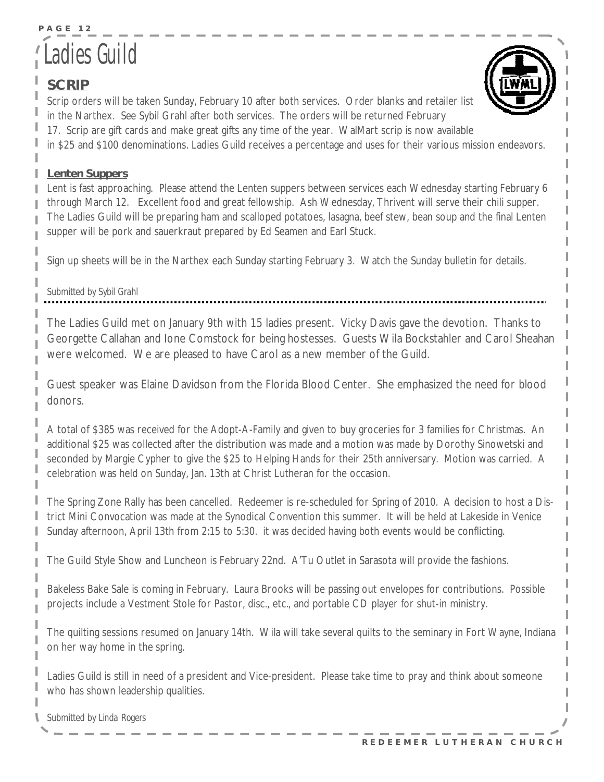### **P A G E 12**  Ladies Guild

### **SCRIP**

Scrip orders will be taken Sunday, February 10 after both services. Order blanks and retailer list in the Narthex. See Sybil Grahl after both services. The orders will be returned February 17. Scrip are gift cards and make great gifts any time of the year. WalMart scrip is now available in \$25 and \$100 denominations. Ladies Guild receives a percentage and uses for their various mission endeavors.

#### **Lenten Suppers**

Lent is fast approaching. Please attend the Lenten suppers between services each Wednesday starting February 6 through March 12. Excellent food and great fellowship. Ash Wednesday, Thrivent will serve their chili supper. The Ladies Guild will be preparing ham and scalloped potatoes, lasagna, beef stew, bean soup and the final Lenten supper will be pork and sauerkraut prepared by Ed Seamen and Earl Stuck.

Sign up sheets will be in the Narthex each Sunday starting February 3. Watch the Sunday bulletin for details.

#### *Submitted by Sybil Grahl*

The Ladies Guild met on January 9th with 15 ladies present. Vicky Davis gave the devotion. Thanks to Georgette Callahan and Ione Comstock for being hostesses. Guests Wila Bockstahler and Carol Sheahan were welcomed. We are pleased to have Carol as a new member of the Guild.

Guest speaker was Elaine Davidson from the Florida Blood Center. She emphasized the need for blood donors.

A total of \$385 was received for the Adopt-A-Family and given to buy groceries for 3 families for Christmas. An additional \$25 was collected after the distribution was made and a motion was made by Dorothy Sinowetski and seconded by Margie Cypher to give the \$25 to Helping Hands for their 25th anniversary. Motion was carried. A celebration was held on Sunday, Jan. 13th at Christ Lutheran for the occasion.

The Spring Zone Rally has been cancelled. Redeemer is re-scheduled for Spring of 2010. A decision to host a District Mini Convocation was made at the Synodical Convention this summer. It will be held at Lakeside in Venice Sunday afternoon, April 13th from 2:15 to 5:30. it was decided having both events would be conflicting.

The Guild Style Show and Luncheon is February 22nd. A'Tu Outlet in Sarasota will provide the fashions.

Bakeless Bake Sale is coming in February. Laura Brooks will be passing out envelopes for contributions. Possible projects include a Vestment Stole for Pastor, disc., etc., and portable CD player for shut-in ministry.

The quilting sessions resumed on January 14th. Wila will take several quilts to the seminary in Fort Wayne, Indiana on her way home in the spring.

Ladies Guild is still in need of a president and Vice-president. Please take time to pray and think about someone who has shown leadership qualities.

*Submitted by Linda Rogers*



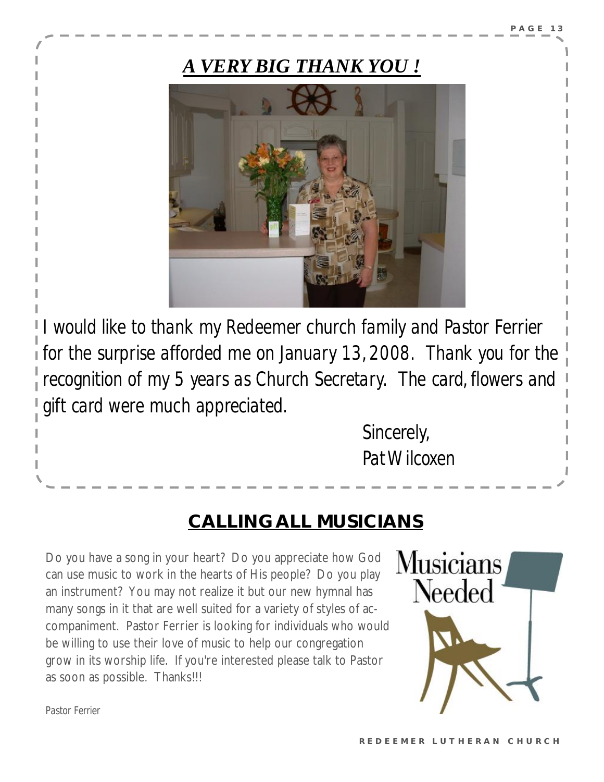### *A VERY BIG THANK YOU !*



*I would like to thank my Redeemer church family and Pastor Ferrier for the surprise afforded me on January 13, 2008. Thank you for the recognition of my 5 years as Church Secretary. The card, flowers and gift card were much appreciated.* 

> *Sincerely, PatWilcoxen*

### **CALLING ALL MUSICIANS**

Do you have a song in your heart? Do you appreciate how God can use music to work in the hearts of His people? Do you play an instrument? You may not realize it but our new hymnal has many songs in it that are well suited for a variety of styles of accompaniment. Pastor Ferrier is looking for individuals who would be willing to use their love of music to help our congregation grow in its worship life. If you're interested please talk to Pastor as soon as possible. Thanks!!!



*Pastor Ferrier*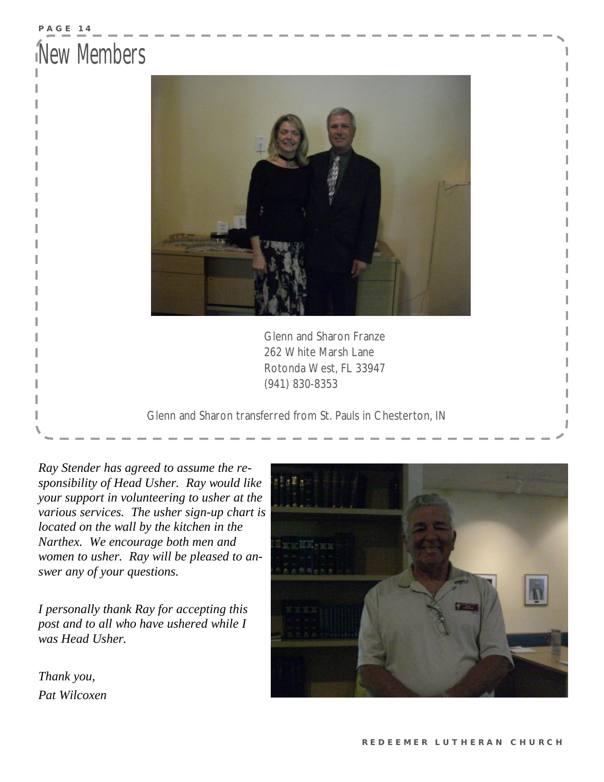### **P A G E 14**  New Members



 Glenn and Sharon Franze 262 White Marsh Lane Rotonda West, FL 33947 (941) 830-8353

Glenn and Sharon transferred from St. Pauls in Chesterton, IN

*Ray Stender has agreed to assume the responsibility of Head Usher. Ray would like your support in volunteering to usher at the various services. The usher sign-up chart is located on the wall by the kitchen in the Narthex. We encourage both men and women to usher. Ray will be pleased to answer any of your questions.* 

*I personally thank Ray for accepting this post and to all who have ushered while I was Head Usher.* 

*Thank you, Pat Wilcoxen*

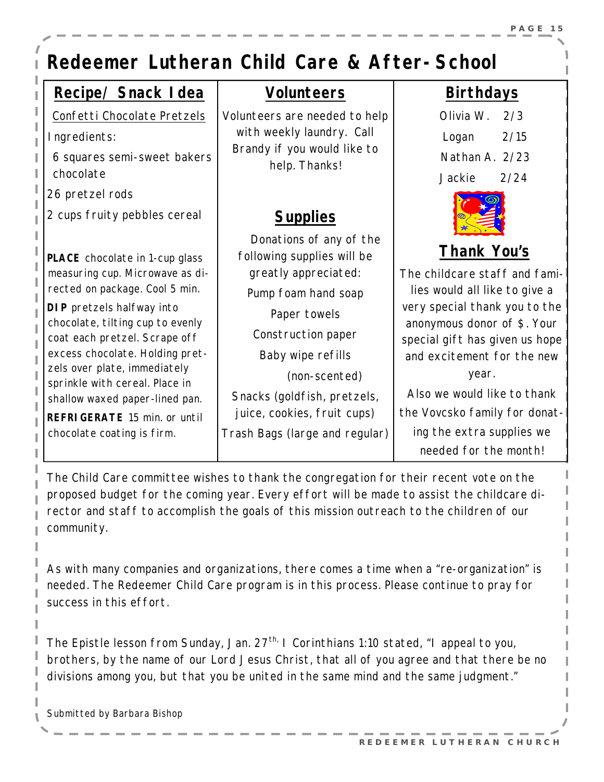### *Redeemer Lutheran Child Care & After-School*

### **Recipe/ Snack Idea**

*Confetti Chocolate Pretzels*

Ingredients:

6 squares semi-sweet bakers chocolate

26 pretzel rods

2 cups fruity pebbles cereal

**PLACE** chocolate in 1-cup glass measuring cup. Microwave as directed on package. Cool 5 min.

**DIP** pretzels halfway into chocolate, tilting cup to evenly coat each pretzel. Scrape off excess chocolate. Holding pretzels over plate, immediately sprinkle with cereal. Place in shallow waxed paper-lined pan. **REFRIGERATE** 15 min. or until chocolate coating is firm.

### **Volunteers**

Volunteers are needed to help with weekly laundry. Call Brandy if you would like to help. Thanks!

### **Supplies**

 Donations of any of the following supplies will be greatly appreciated: Pump foam hand soap Paper towels Construction paper Baby wipe refills (non-scented) Snacks (goldfish, pretzels, juice, cookies, fruit cups) Trash Bags (large and regular)

### **Birthdays**

 Olivia W. 2/3 Logan 2/15 Nathan A. 2/23 Jackie 2/24



### **Thank You's**

The childcare staff and families would all like to give a very special thank you to the anonymous donor of \$. Your special gift has given us hope and excitement for the new year.

Also we would like to thank the Vovcsko family for donating the extra supplies we needed for the month!

The Child Care committee wishes to thank the congregation for their recent vote on the proposed budget for the coming year. Every effort will be made to assist the childcare director and staff to accomplish the goals of this mission outreach to the children of our community.

As with many companies and organizations, there comes a time when a "re-organization" is needed. The Redeemer Child Care program is in this process. Please continue to pray for success in this effort.

The Epistle lesson from Sunday, Jan. 27<sup>th,</sup> I Corinthians 1:10 stated, "I appeal to you, brothers, by the name of our Lord Jesus Christ, that all of you agree and that there be no divisions among you, but that you be united in the same mind and the same judgment."